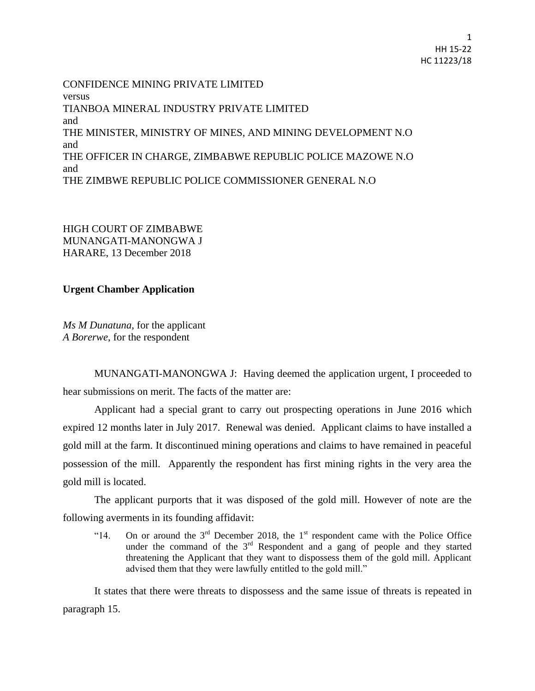CONFIDENCE MINING PRIVATE LIMITED versus TIANBOA MINERAL INDUSTRY PRIVATE LIMITED and THE MINISTER, MINISTRY OF MINES, AND MINING DEVELOPMENT N.O and THE OFFICER IN CHARGE, ZIMBABWE REPUBLIC POLICE MAZOWE N.O and THE ZIMBWE REPUBLIC POLICE COMMISSIONER GENERAL N.O

HIGH COURT OF ZIMBABWE MUNANGATI-MANONGWA J HARARE, 13 December 2018

## **Urgent Chamber Application**

*Ms M Dunatuna*, for the applicant *A Borerwe*, for the respondent

MUNANGATI-MANONGWA J: Having deemed the application urgent, I proceeded to hear submissions on merit. The facts of the matter are:

Applicant had a special grant to carry out prospecting operations in June 2016 which expired 12 months later in July 2017. Renewal was denied. Applicant claims to have installed a gold mill at the farm. It discontinued mining operations and claims to have remained in peaceful possession of the mill. Apparently the respondent has first mining rights in the very area the gold mill is located.

The applicant purports that it was disposed of the gold mill. However of note are the following averments in its founding affidavit:

"14. On or around the  $3<sup>rd</sup>$  December 2018, the 1<sup>st</sup> respondent came with the Police Office under the command of the  $3<sup>rd</sup>$  Respondent and a gang of people and they started threatening the Applicant that they want to dispossess them of the gold mill. Applicant advised them that they were lawfully entitled to the gold mill."

It states that there were threats to dispossess and the same issue of threats is repeated in paragraph 15.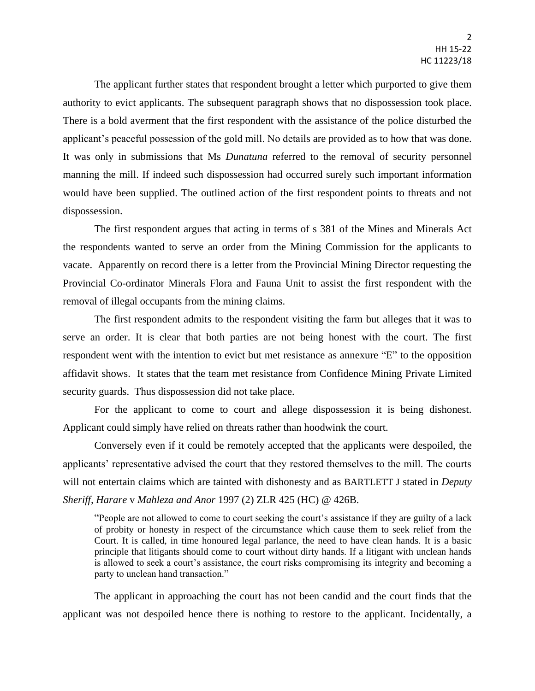The applicant further states that respondent brought a letter which purported to give them authority to evict applicants. The subsequent paragraph shows that no dispossession took place. There is a bold averment that the first respondent with the assistance of the police disturbed the applicant's peaceful possession of the gold mill. No details are provided as to how that was done. It was only in submissions that Ms *Dunatuna* referred to the removal of security personnel manning the mill. If indeed such dispossession had occurred surely such important information would have been supplied. The outlined action of the first respondent points to threats and not dispossession.

The first respondent argues that acting in terms of s 381 of the Mines and Minerals Act the respondents wanted to serve an order from the Mining Commission for the applicants to vacate. Apparently on record there is a letter from the Provincial Mining Director requesting the Provincial Co-ordinator Minerals Flora and Fauna Unit to assist the first respondent with the removal of illegal occupants from the mining claims.

The first respondent admits to the respondent visiting the farm but alleges that it was to serve an order. It is clear that both parties are not being honest with the court. The first respondent went with the intention to evict but met resistance as annexure "E" to the opposition affidavit shows. It states that the team met resistance from Confidence Mining Private Limited security guards. Thus dispossession did not take place.

For the applicant to come to court and allege dispossession it is being dishonest. Applicant could simply have relied on threats rather than hoodwink the court.

Conversely even if it could be remotely accepted that the applicants were despoiled, the applicants' representative advised the court that they restored themselves to the mill. The courts will not entertain claims which are tainted with dishonesty and as BARTLETT J stated in *Deputy Sheriff, Harare* v *Mahleza and Anor* 1997 (2) ZLR 425 (HC) @ 426B.

"People are not allowed to come to court seeking the court's assistance if they are guilty of a lack of probity or honesty in respect of the circumstance which cause them to seek relief from the Court. It is called, in time honoured legal parlance, the need to have clean hands. It is a basic principle that litigants should come to court without dirty hands. If a litigant with unclean hands is allowed to seek a court's assistance, the court risks compromising its integrity and becoming a party to unclean hand transaction."

The applicant in approaching the court has not been candid and the court finds that the applicant was not despoiled hence there is nothing to restore to the applicant. Incidentally, a